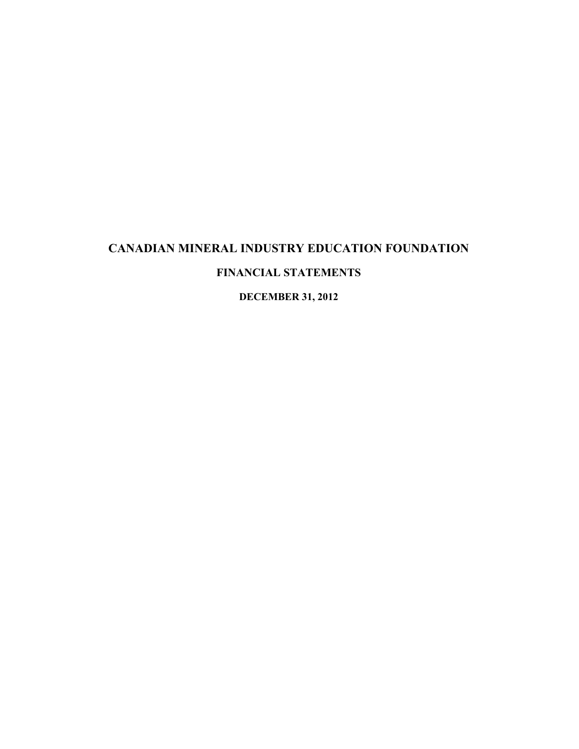# **CANADIAN MINERAL INDUSTRY EDUCATION FOUNDATION FINANCIAL STATEMENTS**

**DECEMBER 31, 2012**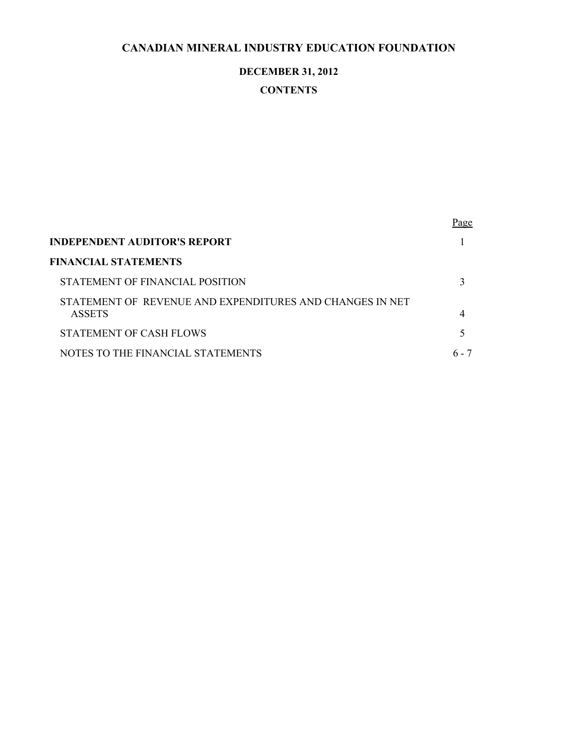# **DECEMBER 31, 2012**

# **CONTENTS**

|                                                                           | <u>Page</u> |
|---------------------------------------------------------------------------|-------------|
| INDEPENDENT AUDITOR'S REPORT                                              |             |
| FINANCIAL STATEMENTS                                                      |             |
| STATEMENT OF FINANCIAL POSITION                                           |             |
| STATEMENT OF REVENUE AND EXPENDITURES AND CHANGES IN NET<br><b>ASSETS</b> | 4           |
| STATEMENT OF CASH FLOWS                                                   |             |
| NOTES TO THE FINANCIAL STATEMENTS                                         | 6 - 7       |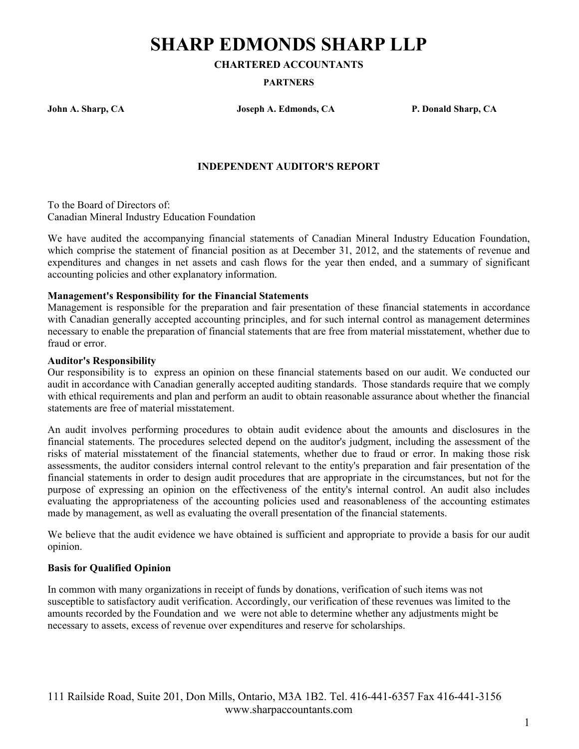# **SHARP EDMONDS SHARP LLP**

**CHARTERED ACCOUNTANTS**

#### **PARTNERS**

**John A. Sharp, CA Joseph A. Edmonds, CA P. Donald Sharp, CA**

## **INDEPENDENT AUDITOR'S REPORT**

To the Board of Directors of: Canadian Mineral Industry Education Foundation

We have audited the accompanying financial statements of Canadian Mineral Industry Education Foundation, which comprise the statement of financial position as at December 31, 2012, and the statements of revenue and expenditures and changes in net assets and cash flows for the year then ended, and a summary of significant accounting policies and other explanatory information.

## **Management's Responsibility for the Financial Statements**

Management is responsible for the preparation and fair presentation of these financial statements in accordance with Canadian generally accepted accounting principles, and for such internal control as management determines necessary to enable the preparation of financial statements that are free from material misstatement, whether due to fraud or error.

#### **Auditor's Responsibility**

Our responsibility is to express an opinion on these financial statements based on our audit. We conducted our audit in accordance with Canadian generally accepted auditing standards. Those standards require that we comply with ethical requirements and plan and perform an audit to obtain reasonable assurance about whether the financial statements are free of material misstatement.

An audit involves performing procedures to obtain audit evidence about the amounts and disclosures in the financial statements. The procedures selected depend on the auditor's judgment, including the assessment of the risks of material misstatement of the financial statements, whether due to fraud or error. In making those risk assessments, the auditor considers internal control relevant to the entity's preparation and fair presentation of the financial statements in order to design audit procedures that are appropriate in the circumstances, but not for the purpose of expressing an opinion on the effectiveness of the entity's internal control. An audit also includes evaluating the appropriateness of the accounting policies used and reasonableness of the accounting estimates made by management, as well as evaluating the overall presentation of the financial statements.

We believe that the audit evidence we have obtained is sufficient and appropriate to provide a basis for our audit opinion.

#### **Basis for Qualified Opinion**

In common with many organizations in receipt of funds by donations, verification of such items was not susceptible to satisfactory audit verification. Accordingly, our verification of these revenues was limited to the amounts recorded by the Foundation and we were not able to determine whether any adjustments might be necessary to assets, excess of revenue over expenditures and reserve for scholarships.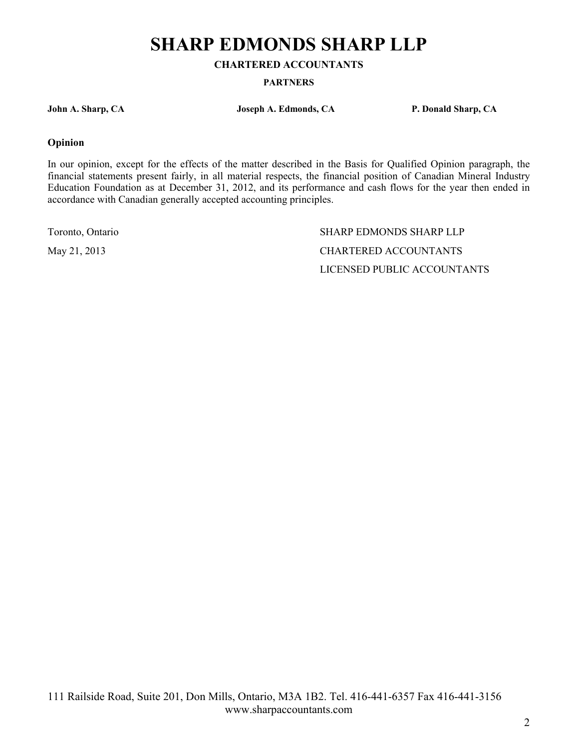# **SHARP EDMONDS SHARP LLP**

**CHARTERED ACCOUNTANTS**

**PARTNERS**

**John A. Sharp, CA Joseph A. Edmonds, CA P. Donald Sharp, CA**

#### **Opinion**

In our opinion, except for the effects of the matter described in the Basis for Qualified Opinion paragraph, the financial statements present fairly, in all material respects, the financial position of Canadian Mineral Industry Education Foundation as at December 31, 2012, and its performance and cash flows for the year then ended in accordance with Canadian generally accepted accounting principles.

Toronto, Ontario SHARP EDMONDS SHARP LLP May 21, 2013 CHARTERED ACCOUNTANTS LICENSED PUBLIC ACCOUNTANTS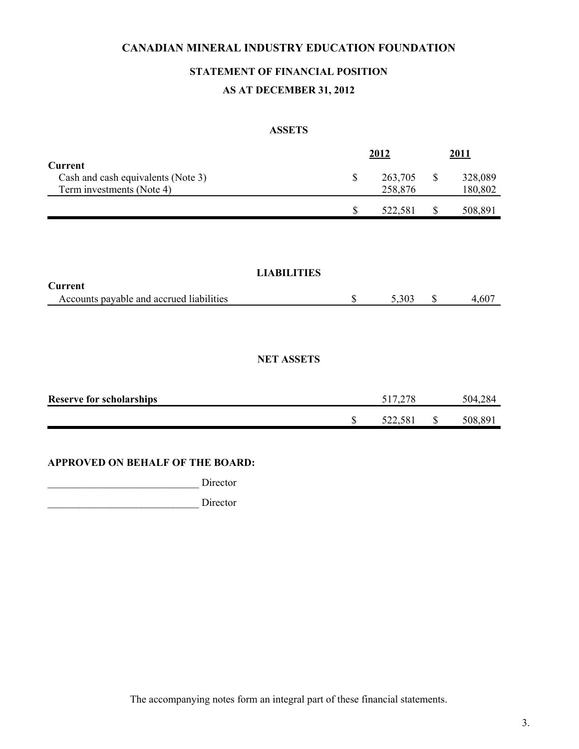# **STATEMENT OF FINANCIAL POSITION**

## **AS AT DECEMBER 31, 2012**

#### **ASSETS**

|                                          |                    | 2012    |    | 2011    |
|------------------------------------------|--------------------|---------|----|---------|
| <b>Current</b>                           |                    |         |    |         |
| Cash and cash equivalents (Note 3)       | \$                 | 263,705 | S  | 328,089 |
| Term investments (Note 4)                |                    | 258,876 |    | 180,802 |
|                                          | \$                 | 522,581 | S  | 508,891 |
|                                          |                    |         |    |         |
|                                          |                    |         |    |         |
|                                          |                    |         |    |         |
|                                          | <b>LIABILITIES</b> |         |    |         |
| <b>Current</b>                           |                    |         |    |         |
| Accounts payable and accrued liabilities | \$                 | 5,303   | \$ | 4,607   |

## **NET ASSETS**

| <b>Reserve for scholarships</b> |   |         | 504 284 |
|---------------------------------|---|---------|---------|
|                                 | ₼ | 522.581 | 508,89  |

## **APPROVED ON BEHALF OF THE BOARD:**

\_\_\_\_\_\_\_\_\_\_\_\_\_\_\_\_\_\_\_\_\_\_\_\_\_\_\_\_\_ Director

\_\_\_\_\_\_\_\_\_\_\_\_\_\_\_\_\_\_\_\_\_\_\_\_\_\_\_\_\_ Director

The accompanying notes form an integral part of these financial statements.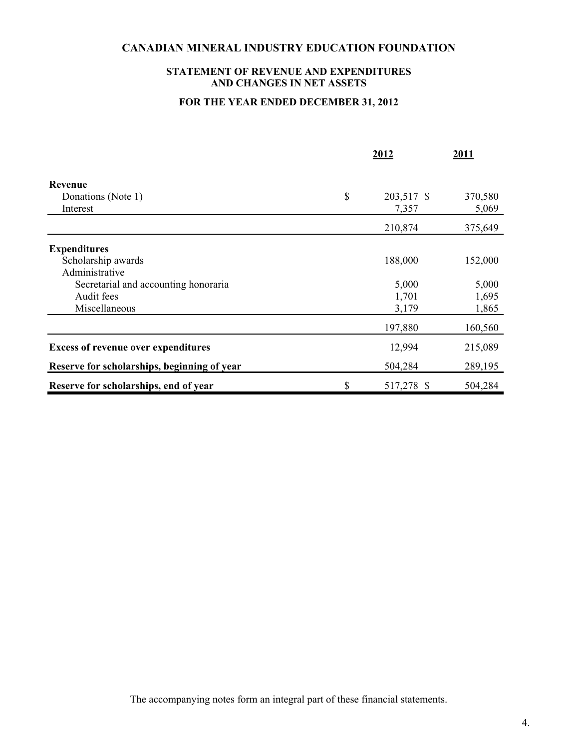## **STATEMENT OF REVENUE AND EXPENDITURES AND CHANGES IN NET ASSETS**

## **FOR THE YEAR ENDED DECEMBER 31, 2012**

|                                             | 2012             | 2011    |
|---------------------------------------------|------------------|---------|
| Revenue                                     |                  |         |
| Donations (Note 1)                          | \$<br>203,517 \$ | 370,580 |
| Interest                                    | 7,357            | 5,069   |
|                                             | 210,874          | 375,649 |
| <b>Expenditures</b>                         |                  |         |
| Scholarship awards                          | 188,000          | 152,000 |
| Administrative                              |                  |         |
| Secretarial and accounting honoraria        | 5,000            | 5,000   |
| Audit fees                                  | 1,701            | 1,695   |
| Miscellaneous                               | 3,179            | 1,865   |
|                                             | 197,880          | 160,560 |
| <b>Excess of revenue over expenditures</b>  | 12,994           | 215,089 |
| Reserve for scholarships, beginning of year | 504,284          | 289,195 |
| Reserve for scholarships, end of year       | \$<br>517,278 \$ | 504,284 |

The accompanying notes form an integral part of these financial statements.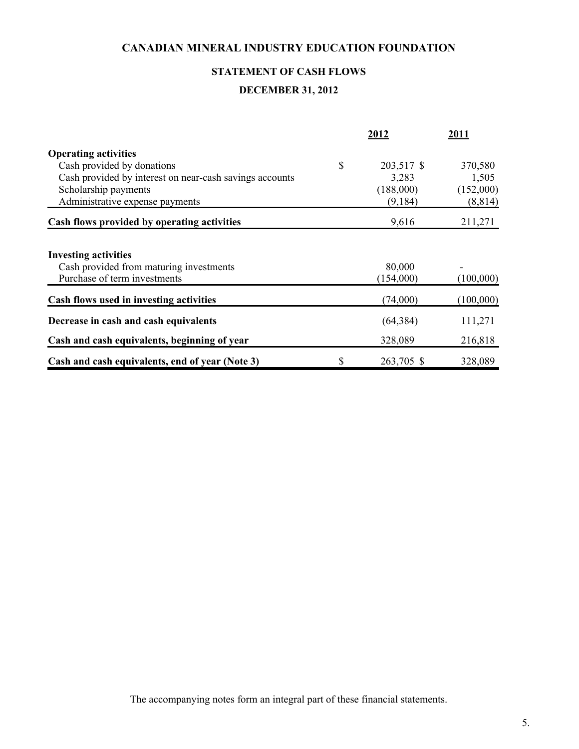# **STATEMENT OF CASH FLOWS**

# **DECEMBER 31, 2012**

|                                                         | 2012             | 2011      |
|---------------------------------------------------------|------------------|-----------|
| <b>Operating activities</b>                             |                  |           |
| Cash provided by donations                              | \$<br>203,517 \$ | 370,580   |
| Cash provided by interest on near-cash savings accounts | 3,283            | 1,505     |
| Scholarship payments                                    | (188,000)        | (152,000) |
| Administrative expense payments                         | (9,184)          | (8, 814)  |
| Cash flows provided by operating activities             | 9,616            | 211,271   |
| <b>Investing activities</b>                             |                  |           |
| Cash provided from maturing investments                 | 80,000           |           |
| Purchase of term investments                            | (154,000)        | (100,000) |
| Cash flows used in investing activities                 | (74,000)         | (100,000) |
| Decrease in cash and cash equivalents                   | (64, 384)        | 111,271   |
| Cash and cash equivalents, beginning of year            | 328,089          | 216,818   |
| Cash and cash equivalents, end of year (Note 3)         | \$<br>263,705 \$ | 328,089   |

The accompanying notes form an integral part of these financial statements.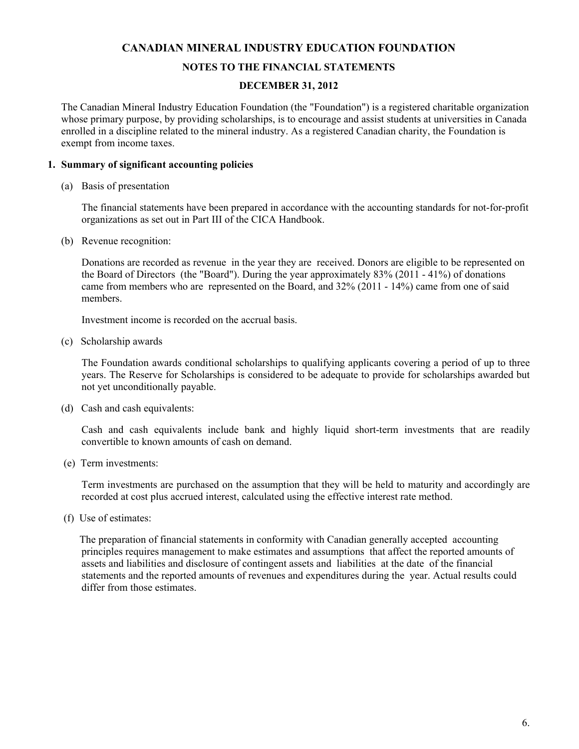#### **NOTES TO THE FINANCIAL STATEMENTS**

#### **DECEMBER 31, 2012**

The Canadian Mineral Industry Education Foundation (the "Foundation") is a registered charitable organization whose primary purpose, by providing scholarships, is to encourage and assist students at universities in Canada enrolled in a discipline related to the mineral industry. As a registered Canadian charity, the Foundation is exempt from income taxes.

#### **1. Summary of significant accounting policies**

(a) Basis of presentation

The financial statements have been prepared in accordance with the accounting standards for not-for-profit organizations as set out in Part III of the CICA Handbook.

(b) Revenue recognition:

Donations are recorded as revenue in the year they are received. Donors are eligible to be represented on the Board of Directors (the "Board"). During the year approximately 83% (2011 - 41%) of donations came from members who are represented on the Board, and 32% (2011 - 14%) came from one of said members.

Investment income is recorded on the accrual basis.

(c) Scholarship awards

 The Foundation awards conditional scholarships to qualifying applicants covering a period of up to three years. The Reserve for Scholarships is considered to be adequate to provide for scholarships awarded but not yet unconditionally payable.

(d) Cash and cash equivalents:

 Cash and cash equivalents include bank and highly liquid short-term investments that are readily convertible to known amounts of cash on demand.

(e) Term investments:

Term investments are purchased on the assumption that they will be held to maturity and accordingly are recorded at cost plus accrued interest, calculated using the effective interest rate method.

(f) Use of estimates:

 The preparation of financial statements in conformity with Canadian generally accepted accounting principles requires management to make estimates and assumptions that affect the reported amounts of assets and liabilities and disclosure of contingent assets and liabilities at the date of the financial statements and the reported amounts of revenues and expenditures during the year. Actual results could differ from those estimates.